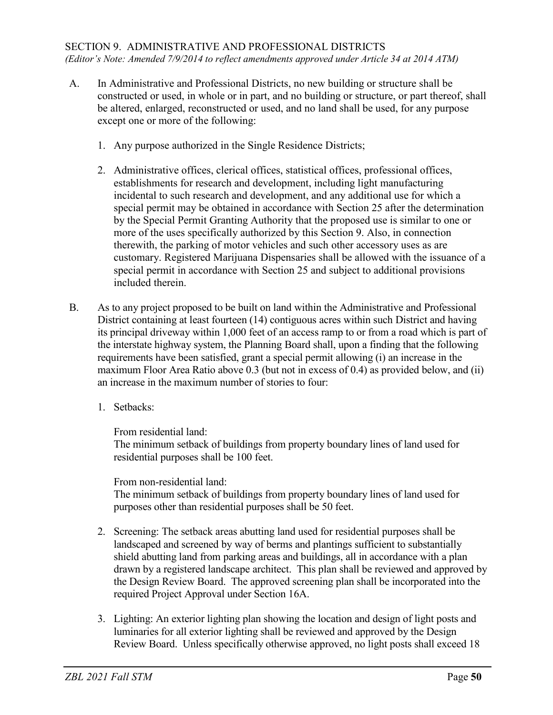- A. In Administrative and Professional Districts, no new building or structure shall be constructed or used, in whole or in part, and no building or structure, or part thereof, shall be altered, enlarged, reconstructed or used, and no land shall be used, for any purpose except one or more of the following:
	- 1. Any purpose authorized in the Single Residence Districts;
	- 2. Administrative offices, clerical offices, statistical offices, professional offices, establishments for research and development, including light manufacturing incidental to such research and development, and any additional use for which a special permit may be obtained in accordance with Section 25 after the determination by the Special Permit Granting Authority that the proposed use is similar to one or more of the uses specifically authorized by this Section 9. Also, in connection therewith, the parking of motor vehicles and such other accessory uses as are customary. Registered Marijuana Dispensaries shall be allowed with the issuance of a special permit in accordance with Section 25 and subject to additional provisions included therein.
- B. As to any project proposed to be built on land within the Administrative and Professional District containing at least fourteen (14) contiguous acres within such District and having its principal driveway within 1,000 feet of an access ramp to or from a road which is part of the interstate highway system, the Planning Board shall, upon a finding that the following requirements have been satisfied, grant a special permit allowing (i) an increase in the maximum Floor Area Ratio above 0.3 (but not in excess of 0.4) as provided below, and (ii) an increase in the maximum number of stories to four:
	- 1. Setbacks:

From residential land:

The minimum setback of buildings from property boundary lines of land used for residential purposes shall be 100 feet.

From non-residential land:

The minimum setback of buildings from property boundary lines of land used for purposes other than residential purposes shall be 50 feet.

- 2. Screening: The setback areas abutting land used for residential purposes shall be landscaped and screened by way of berms and plantings sufficient to substantially shield abutting land from parking areas and buildings, all in accordance with a plan drawn by a registered landscape architect. This plan shall be reviewed and approved by the Design Review Board. The approved screening plan shall be incorporated into the required Project Approval under Section 16A.
- 3. Lighting: An exterior lighting plan showing the location and design of light posts and luminaries for all exterior lighting shall be reviewed and approved by the Design Review Board. Unless specifically otherwise approved, no light posts shall exceed 18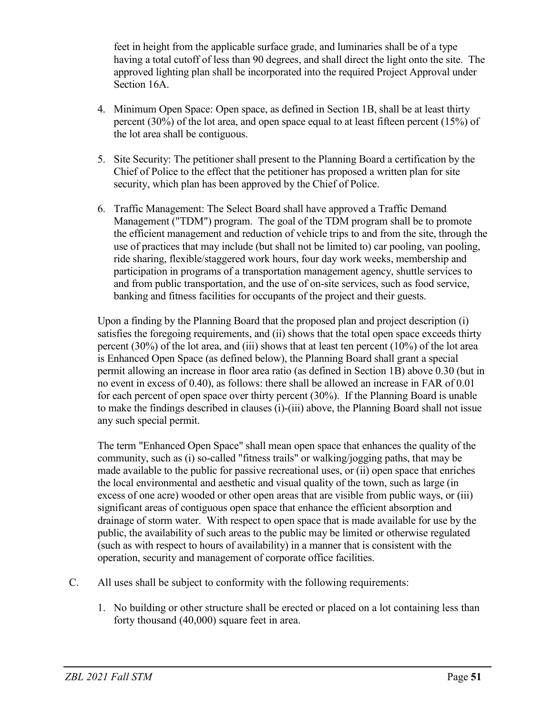feet in height from the applicable surface grade, and luminaries shall be of a type having a total cutoff of less than 90 degrees, and shall direct the light onto the site. The approved lighting plan shall be incorporated into the required Project Approval under Section 16A.

- 4. Minimum Open Space: Open space, as defined in Section 1B, shall be at least thirty percent (30%) of the lot area, and open space equal to at least fifteen percent (15%) of the lot area shall be contiguous.
- 5. Site Security: The petitioner shall present to the Planning Board a certification by the Chief of Police to the effect that the petitioner has proposed a written plan for site security, which plan has been approved by the Chief of Police.
- 6. Traffic Management: The Select Board shall have approved a Traffic Demand Management ("TDM") program. The goal of the TDM program shall be to promote the efficient management and reduction of vehicle trips to and from the site, through the use of practices that may include (but shall not be limited to) car pooling, van pooling, ride sharing, flexible/staggered work hours, four day work weeks, membership and participation in programs of a transportation management agency, shuttle services to and from public transportation, and the use of on-site services, such as food service, banking and fitness facilities for occupants of the project and their guests.

Upon a finding by the Planning Board that the proposed plan and project description (i) satisfies the foregoing requirements, and (ii) shows that the total open space exceeds thirty percent (30%) of the lot area, and (iii) shows that at least ten percent (10%) of the lot area is Enhanced Open Space (as defined below), the Planning Board shall grant a special permit allowing an increase in floor area ratio (as defined in Section 1B) above 0.30 (but in no event in excess of 0.40), as follows: there shall be allowed an increase in FAR of 0.01 for each percent of open space over thirty percent (30%). If the Planning Board is unable to make the findings described in clauses (i)-(iii) above, the Planning Board shall not issue any such special permit.

The term "Enhanced Open Space" shall mean open space that enhances the quality of the community, such as (i) so-called "fitness trails" or walking/jogging paths, that may be made available to the public for passive recreational uses, or (ii) open space that enriches the local environmental and aesthetic and visual quality of the town, such as large (in excess of one acre) wooded or other open areas that are visible from public ways, or (iii) significant areas of contiguous open space that enhance the efficient absorption and drainage of storm water. With respect to open space that is made available for use by the public, the availability of such areas to the public may be limited or otherwise regulated (such as with respect to hours of availability) in a manner that is consistent with the operation, security and management of corporate office facilities.

- C. All uses shall be subject to conformity with the following requirements:
	- 1. No building or other structure shall be erected or placed on a lot containing less than forty thousand (40,000) square feet in area.